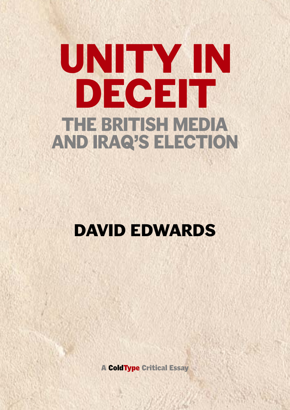# **UNITY IN DECEIT THE BRITISH MEDIA AND IRAQ'S ELECTION**

# **DAVID EDWARDS**

**A ColdType Critical Essay**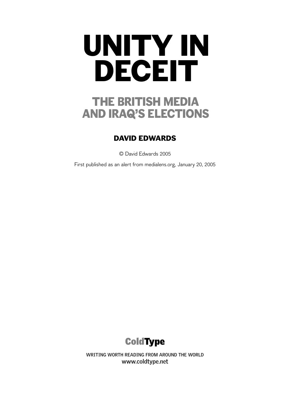## **THE BRITISH MEDIA AND IRAQ'S ELECTIONS**

#### **DAVID EDWARDS**

© David Edwards 2005

First published as an alert from medialens.org, January 20, 2005



**WRITING WORTH READING FROM AROUND THE WORLD www.coldtype.net**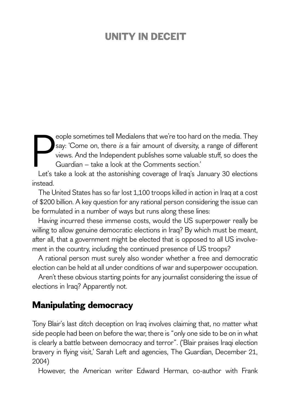Frank and the media. I hey say: 'Come on, there *is* a fair amount of diversity, a range of different views. And the Independent publishes some valuable stuff, so does the Guardian – take a look at the Comments section.'<br>L eople sometimes tell Medialens that we're too hard on the media. They say: 'Come on, there is a fair amount of diversity, a range of different views. And the Independent publishes some valuable stuff, so does the Guardian – take a look at the Comments section.'

instead.

The United States has so far lost 1,100 troops killed in action in Iraq at a cost of \$200 billion. A key question for any rational person considering the issue can be formulated in a number of ways but runs along these lines:

Having incurred these immense costs, would the US superpower really be willing to allow genuine democratic elections in Iraq? By which must be meant, after all, that a government might be elected that is opposed to all US involvement in the country, including the continued presence of US troops?

A rational person must surely also wonder whether a free and democratic election can be held at all under conditions of war and superpower occupation.

Aren't these obvious starting points for any journalist considering the issue of elections in Iraq? Apparently not.

#### **Manipulating democracy**

Tony Blair's last ditch deception on Iraq involves claiming that, no matter what side people had been on before the war, there is "only one side to be on in what is clearly a battle between democracy and terror". ('Blair praises Iraqi election bravery in flying visit,' Sarah Left and agencies, The Guardian, December 21, 2004)

However, the American writer Edward Herman, co-author with Frank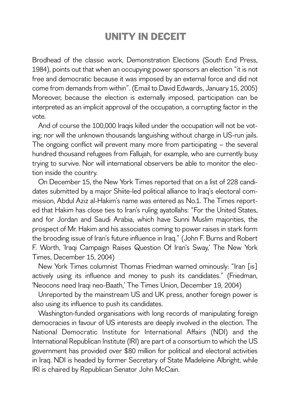Brodhead of the classic work, Demonstration Elections (South End Press, 1984), points out that when an occupying power sponsors an election "it is not free and democratic because it was imposed by an external force and did not come from demands from within". (Email to David Edwards, January 15, 2005) Moreover, because the election is externally imposed, participation can be interpreted as an implicit approval of the occupation, a corrupting factor in the vote.

And of course the 100,000 Iraqis killed under the occupation will not be voting; nor will the unknown thousands languishing without charge in US-run jails. The ongoing conflict will prevent many more from participating – the several hundred thousand refugees from Fallujah, for example, who are currently busy trying to survive. Nor will international observers be able to monitor the election inside the country.

On December 15, the New York Times reported that on a list of 228 candidates submitted by a major Shiite-led political alliance to Iraq's electoral commission, Abdul Aziz al-Hakim's name was entered as No.1. The Times reported that Hakim has close ties to Iran's ruling ayatollahs: "For the United States, and for Jordan and Saudi Arabia, which have Sunni Muslim majorities, the prospect of Mr. Hakim and his associates coming to power raises in stark form the brooding issue of Iran's future influence in Iraq." (John F. Burns and Robert F. Worth, 'Iraqi Campaign Raises Question Of Iran's Sway,' The New York Times, December 15, 2004)

New York Times columnist Thomas Friedman warned ominously: "Iran [is] actively using its influence and money to push its candidates." (Friedman, 'Neocons need Iraqi neo-Baath,' The Times Union, December 19, 2004)

Unreported by the mainstream US and UK press, another foreign power is also using its influence to push its candidates.

Washington-funded organisations with long records of manipulating foreign democracies in favour of US interests are deeply involved in the election. The National Democratic Institute for International Affairs (NDI) and the International Republican Institute (IRI) are part of a consortium to which the US government has provided over \$80 million for political and electoral activities in Iraq. NDI is headed by former Secretary of State Madeleine Albright, while IRI is chaired by Republican Senator John McCain.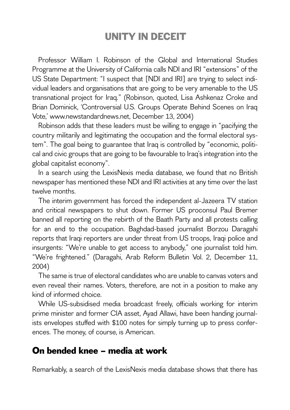Professor William I. Robinson of the Global and International Studies Programme at the University of California calls NDI and IRI "extensions" of the US State Department: "I suspect that [NDI and IRI] are trying to select individual leaders and organisations that are going to be very amenable to the US transnational project for Iraq." (Robinson, quoted, Lisa Ashkenaz Croke and Brian Dominick, 'Controversial U.S. Groups Operate Behind Scenes on Iraq Vote,' www.newstandardnews.net, December 13, 2004)

Robinson adds that these leaders must be willing to engage in "pacifying the country militarily and legitimating the occupation and the formal electoral system". The goal being to guarantee that Iraq is controlled by "economic, political and civic groups that are going to be favourable to Iraq's integration into the global capitalist economy".

In a search using the LexisNexis media database, we found that no British newspaper has mentioned these NDI and IRI activities at any time over the last twelve months.

The interim government has forced the independent al-Jazeera TV station and critical newspapers to shut down. Former US proconsul Paul Bremer banned all reporting on the rebirth of the Baath Party and all protests calling for an end to the occupation. Baghdad-based journalist Borzou Daragahi reports that Iraqi reporters are under threat from US troops, Iraqi police and insurgents: "We're unable to get access to anybody," one journalist told him. "We're frightened." (Daragahi, Arab Reform Bulletin Vol. 2, December 11, 2004)

The same is true of electoral candidates who are unable to canvas voters and even reveal their names. Voters, therefore, are not in a position to make any kind of informed choice.

While US-subsidised media broadcast freely, officials working for interim prime minister and former CIA asset, Ayad Allawi, have been handing journalists envelopes stuffed with \$100 notes for simply turning up to press conferences. The money, of course, is American.

#### **On bended knee – media at work**

Remarkably, a search of the LexisNexis media database shows that there has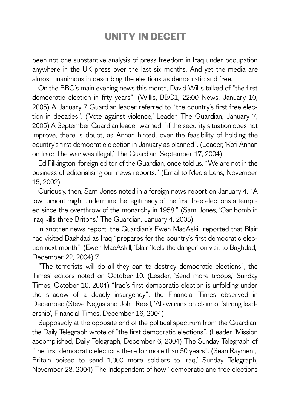been not one substantive analysis of press freedom in Iraq under occupation anywhere in the UK press over the last six months. And yet the media are almost unanimous in describing the elections as democratic and free.

On the BBC's main evening news this month, David Willis talked of "the first democratic election in fifty years". (Willis, BBC1, 22:00 News, January 10, 2005) A January 7 Guardian leader referred to "the country's first free election in decades". ('Vote against violence,' Leader, The Guardian, January 7, 2005) A September Guardian leader warned: "if the security situation does not improve, there is doubt, as Annan hinted, over the feasibility of holding the country's first democratic election in January as planned". (Leader, 'Kofi Annan on Iraq: The war was illegal,' The Guardian, September 17, 2004)

Ed Pilkington, foreign editor of the Guardian, once told us: "We are not in the business of editorialising our news reports." (Email to Media Lens, November 15, 2002)

Curiously, then, Sam Jones noted in a foreign news report on January 4: "A low turnout might undermine the legitimacy of the first free elections attempted since the overthrow of the monarchy in 1958." (Sam Jones, 'Car bomb in Iraq kills three Britons,' The Guardian, January 4, 2005)

In another news report, the Guardian's Ewen MacAskill reported that Blair had visited Baghdad as Iraq "prepares for the country's first democratic election next month". (Ewen MacAskill, 'Blair 'feels the danger' on visit to Baghdad,' December 22, 2004) 7

"The terrorists will do all they can to destroy democratic elections", the Times' editors noted on October 10. (Leader, 'Send more troops,' Sunday Times, October 10, 2004) "Iraq's first democratic election is unfolding under the shadow of a deadly insurgency", the Financial Times observed in December. (Steve Negus and John Reed, 'Allawi runs on claim of 'strong leadership', Financial Times, December 16, 2004)

Supposedly at the opposite end of the political spectrum from the Guardian, the Daily Telegraph wrote of "the first democratic elections". (Leader, 'Mission accomplished, Daily Telegraph, December 6, 2004) The Sunday Telegraph of "the first democratic elections there for more than 50 years". (Sean Rayment,' Britain poised to send 1,000 more soldiers to Iraq,' Sunday Telegraph, November 28, 2004) The Independent of how "democratic and free elections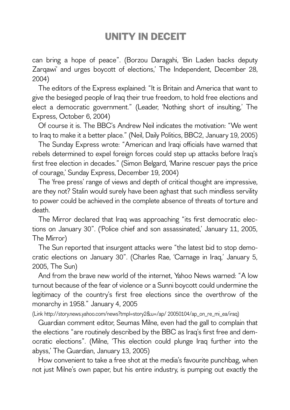can bring a hope of peace". (Borzou Daragahi, 'Bin Laden backs deputy Zarqawi' and urges boycott of elections,' The Independent, December 28, 2004)

The editors of the Express explained: "It is Britain and America that want to give the besieged people of Iraq their true freedom, to hold free elections and elect a democratic government." (Leader, 'Nothing short of insulting,' The Express, October 6, 2004)

Of course it is. The BBC's Andrew Neil indicates the motivation: "We went to Iraq to make it a better place." (Neil, Daily Politics, BBC2, January 19, 2005)

The Sunday Express wrote: "American and Iraqi officials have warned that rebels determined to expel foreign forces could step up attacks before Iraq's first free election in decades." (Simon Belgard, 'Marine rescuer pays the price of courage,' Sunday Express, December 19, 2004)

The 'free press' range of views and depth of critical thought are impressive, are they not? Stalin would surely have been aghast that such mindless servility to power could be achieved in the complete absence of threats of torture and death.

The Mirror declared that Iraq was approaching "its first democratic elections on January 30". ('Police chief and son assassinated,' January 11, 2005, The Mirror)

The Sun reported that insurgent attacks were "the latest bid to stop democratic elections on January 30". (Charles Rae, 'Carnage in Iraq,' January 5, 2005, The Sun)

And from the brave new world of the internet, Yahoo News warned: "A low turnout because of the fear of violence or a Sunni boycott could undermine the legitimacy of the country's first free elections since the overthrow of the monarchy in 1958." January 4, 2005

(Link http://story.news.yahoo.com/news?tmpl=story2&u=/ap/ 20050104/ap\_on\_re\_mi\_ea/iraq)

Guardian comment editor, Seumas Milne, even had the gall to complain that the elections "are routinely described by the BBC as Iraq's first free and democratic elections". (Milne, 'This election could plunge Iraq further into the abyss,' The Guardian, January 13, 2005)

How convenient to take a free shot at the media's favourite punchbag, when not just Milne's own paper, but his entire industry, is pumping out exactly the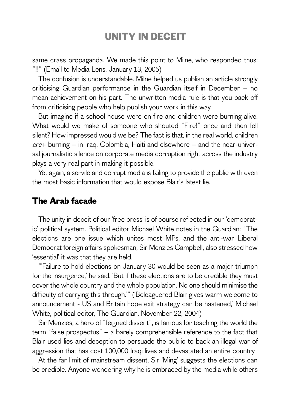same crass propaganda. We made this point to Milne, who responded thus: "!!" (Email to Media Lens, January 13, 2005)

The confusion is understandable. Milne helped us publish an article strongly criticising Guardian performance in the Guardian itself in December – no mean achievement on his part. The unwritten media rule is that you back off from criticising people who help publish your work in this way.

But imagine if a school house were on fire and children were burning alive. What would we make of someone who shouted "Fire!" once and then fell silent? How impressed would we be? The fact is that, in the real world, children are+ burning – in Iraq, Colombia, Haiti and elsewhere – and the near-universal journalistic silence on corporate media corruption right across the industry plays a very real part in making it possible.

Yet again, a servile and corrupt media is failing to provide the public with even the most basic information that would expose Blair's latest lie.

#### **The Arab facade**

The unity in deceit of our 'free press' is of course reflected in our 'democratic' political system. Political editor Michael White notes in the Guardian: "The elections are one issue which unites most MPs, and the anti-war Liberal Democrat foreign affairs spokesman, Sir Menzies Campbell, also stressed how 'essential' it was that they are held.

"'Failure to hold elections on January 30 would be seen as a major triumph for the insurgence,' he said. 'But if these elections are to be credible they must cover the whole country and the whole population. No one should minimise the difficulty of carrying this through.'" ('Beleaguered Blair gives warm welcome to announcement - US and Britain hope exit strategy can be hastened,' Michael White, political editor, The Guardian, November 22, 2004)

Sir Menzies, a hero of "feigned dissent", is famous for teaching the world the term "false prospectus" – a barely comprehensible reference to the fact that Blair used lies and deception to persuade the public to back an illegal war of aggression that has cost 100,000 Iraqi lives and devastated an entire country.

At the far limit of mainstream dissent, Sir 'Ming' suggests the elections can be credible. Anyone wondering why he is embraced by the media while others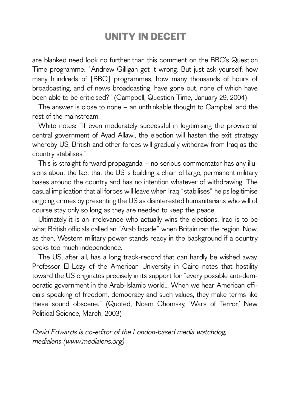are blanked need look no further than this comment on the BBC's Question Time programme: "Andrew Gilligan got it wrong. But just ask yourself: how many hundreds of [BBC] programmes, how many thousands of hours of broadcasting, and of news broadcasting, have gone out, none of which have been able to be criticised?" (Campbell, Question Time, January 29, 2004)

The answer is close to none – an unthinkable thought to Campbell and the rest of the mainstream.

White notes: "If even moderately successful in legitimising the provisional central government of Ayad Allawi, the election will hasten the exit strategy whereby US, British and other forces will gradually withdraw from Iraq as the country stabilises."

This is straight forward propaganda – no serious commentator has any illusions about the fact that the US is building a chain of large, permanent military bases around the country and has no intention whatever of withdrawing. The casual implication that all forces will leave when Iraq "stabilises" helps legitimise ongoing crimes by presenting the US as disinterested humanitarians who will of course stay only so long as they are needed to keep the peace.

Ultimately it is an irrelevance who actually wins the elections. Iraq is to be what British officials called an "Arab facade" when Britain ran the region. Now, as then, Western military power stands ready in the background if a country seeks too much independence.

The US, after all, has a long track-record that can hardly be wished away. Professor El-Lozy of the American University in Cairo notes that hostility toward the US originates precisely in its support for "every possible anti-democratic government in the Arab-Islamic world... When we hear American officials speaking of freedom, democracy and such values, they make terms like these sound obscene." (Quoted, Noam Chomsky, 'Wars of Terror,' New Political Science, March, 2003)

David Edwards is co-editor of the London-based media watchdog, medialens (www.medialens.org)